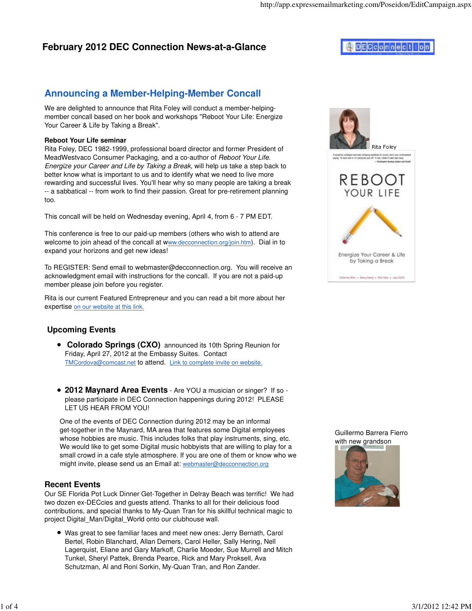# **Announcing a Member-Helping-Member Concall**

We are delighted to announce that Rita Foley will conduct a member-helpingmember concall based on her book and workshops "Reboot Your Life: Energize Your Career & Life by Taking a Break".

#### **Reboot Your Life seminar**

Rita Foley, DEC 1982-1999, professional board director and former President of MeadWestvaco Consumer Packaging, and a co-author of Reboot Your Life. Energize your Career and Life by Taking a Break, will help us take a step back to better know what is important to us and to identify what we need to live more rewarding and successful lives. You'll hear why so many people are taking a break -- a sabbatical -- from work to find their passion. Great for pre-retirement planning too.

This concall will be held on Wednesday evening, April 4, from 6 - 7 PM EDT.

This conference is free to our paid-up members (others who wish to attend are welcome to join ahead of the concall at www.decconnection.org/join.htm). Dial in to expand your horizons and get new ideas!

To REGISTER: Send email to webmaster@decconnection.org. You will receive an acknowledgment email with instructions for the concall. If you are not a paid-up member please join before you register.

Rita is our current Featured Entrepreneur and you can read a bit more about her expertise on our website at this link.

#### **Upcoming Events**

- **Colorado Springs (CXO)** announced its 10th Spring Reunion for Friday, April 27, 2012 at the Embassy Suites. Contact TMCordova@comcast.net to attend. Link to complete invite on website.
- **2012 Maynard Area Events** Are YOU a musician or singer? If so please participate in DEC Connection happenings during 2012! PLEASE LET US HEAR FROM YOU!

One of the events of DEC Connection during 2012 may be an informal get-together in the Maynard, MA area that features some Digital employees whose hobbies are music. This includes folks that play instruments, sing, etc. We would like to get some Digital music hobbyists that are willing to play for a small crowd in a cafe style atmosphere. If you are one of them or know who we might invite, please send us an Email at: webmaster@decconnection.org

#### **Recent Events**

Our SE Florida Pot Luck Dinner Get-Together in Delray Beach was terrific! We had two dozen ex-DECcies and guests attend. Thanks to all for their delicious food contributions, and special thanks to My-Quan Tran for his skillful technical magic to project Digital\_Man/Digital\_World onto our clubhouse wall.

Was great to see familiar faces and meet new ones: Jerry Bernath, Carol Bertel, Robin Blanchard, Allan Demers, Carol Heller, Sally Hering, Nell Lagerquist, Eliane and Gary Markoff, Charlie Moeder, Sue Murrell and Mitch Tunkel, Sheryl Pattek, Brenda Pearce, Rick and Mary Proksell, Ava Schutzman, Al and Roni Sorkin, My-Quan Tran, and Ron Zander.



Guillermo Barrera Fierro with new grandson

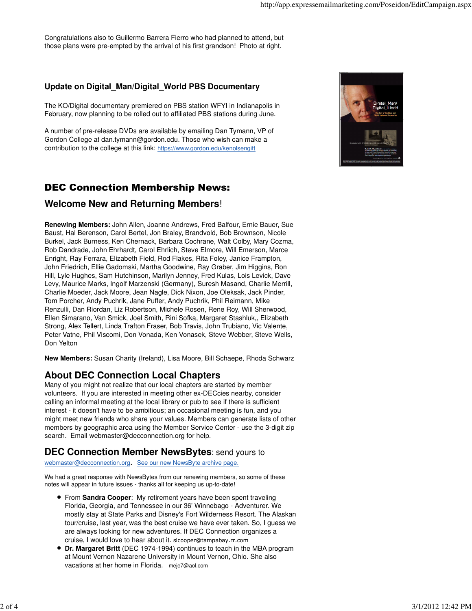Congratulations also to Guillermo Barrera Fierro who had planned to attend, but those plans were pre-empted by the arrival of his first grandson! Photo at right.

#### **Update on Digital\_Man/Digital\_World PBS Documentary**

The KO/Digital documentary premiered on PBS station WFYI in Indianapolis in February, now planning to be rolled out to affiliated PBS stations during June.

A number of pre-release DVDs are available by emailing Dan Tymann, VP of Gordon College at dan.tymann@gordon.edu. Those who wish can make a contribution to the college at this link: https://www.gordon.edu/kenolsengift



# DEC Connection Membership News:

## **Welcome New and Returning Members**!

**Renewing Members:** John Allen, Joanne Andrews, Fred Balfour, Ernie Bauer, Sue Baust, Hal Berenson, Carol Bertel, Jon Braley, Brandvold, Bob Brownson, Nicole Burkel, Jack Burness, Ken Chernack, Barbara Cochrane, Walt Colby, Mary Cozma, Rob Dandrade, John Ehrhardt, Carol Ehrlich, Steve Elmore, Will Emerson, Marce Enright, Ray Ferrara, Elizabeth Field, Rod Flakes, Rita Foley, Janice Frampton, John Friedrich, Ellie Gadomski, Martha Goodwine, Ray Graber, Jim Higgins, Ron Hill, Lyle Hughes, Sam Hutchinson, Marilyn Jenney, Fred Kulas, Lois Levick, Dave Levy, Maurice Marks, Ingolf Marzenski (Germany), Suresh Masand, Charlie Merrill, Charlie Moeder, Jack Moore, Jean Nagle, Dick Nixon, Joe Oleksak, Jack Pinder, Tom Porcher, Andy Puchrik, Jane Puffer, Andy Puchrik, Phil Reimann, Mike Renzulli, Dan Riordan, Liz Robertson, Michele Rosen, Rene Roy, Will Sherwood, Ellen Simarano, Van Smick, Joel Smith, Rini Sofka, Margaret Stashluk,, Elizabeth Strong, Alex Tellert, Linda Trafton Fraser, Bob Travis, John Trubiano, Vic Valente, Peter Vatne, Phil Viscomi, Don Vonada, Ken Vonasek, Steve Webber, Steve Wells, Don Yelton

**New Members:** Susan Charity (Ireland), Lisa Moore, Bill Schaepe, Rhoda Schwarz

## **About DEC Connection Local Chapters**

Many of you might not realize that our local chapters are started by member volunteers. If you are interested in meeting other ex-DECcies nearby, consider calling an informal meeting at the local library or pub to see if there is sufficient interest - it doesn't have to be ambitious; an occasional meeting is fun, and you might meet new friends who share your values. Members can generate lists of other members by geographic area using the Member Service Center - use the 3-digit zip search. Email webmaster@decconnection.org for help.

#### **DEC Connection Member NewsBytes**: send yours to

webmaster@decconnection.org. See our new NewsByte archive page.

We had a great response with NewsBytes from our renewing members, so some of these notes will appear in future issues - thanks all for keeping us up-to-date!

- From **Sandra Cooper**: My retirement years have been spent traveling Florida, Georgia, and Tennessee in our 36' Winnebago - Adventurer. We mostly stay at State Parks and Disney's Fort Wilderness Resort. The Alaskan tour/cruise, last year, was the best cruise we have ever taken. So, I guess we are always looking for new adventures. If DEC Connection organizes a cruise, I would love to hear about it. slcooper@tampabay.rr.com
- **Dr. Margaret Britt** (DEC 1974-1994) continues to teach in the MBA program at Mount Vernon Nazarene University in Mount Vernon, Ohio. She also vacations at her home in Florida. meje7@aol.com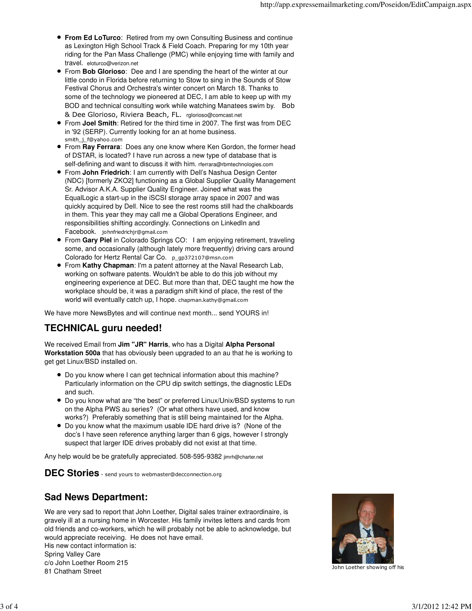- **From Ed LoTurco**: Retired from my own Consulting Business and continue as Lexington High School Track & Field Coach. Preparing for my 10th year riding for the Pan Mass Challenge (PMC) while enjoying time with family and travel. eloturco@verizon.net
- From **Bob Glorioso**: Dee and I are spending the heart of the winter at our little condo in Florida before returning to Stow to sing in the Sounds of Stow Festival Chorus and Orchestra's winter concert on March 18. Thanks to some of the technology we pioneered at DEC, I am able to keep up with my BOD and technical consulting work while watching Manatees swim by. Bob & Dee Glorioso, Riviera Beach, FL. rglorioso@comcast.net
- From **Joel Smith**: Retired for the third time in 2007. The first was from DEC in '92 (SERP). Currently looking for an at home business. smith\_j\_f@yahoo.com
- From **Ray Ferrara**: Does any one know where Ken Gordon, the former head of DSTAR, is located? I have run across a new type of database that is self-defining and want to discuss it with him. rferrara@rbmtechnologies.com
- From **John Friedrich**: I am currently with Dell's Nashua Design Center (NDC) [formerly ZKO2] functioning as a Global Supplier Quality Management Sr. Advisor A.K.A. Supplier Quality Engineer. Joined what was the EqualLogic a start-up in the iSCSI storage array space in 2007 and was quickly acquired by Dell. Nice to see the rest rooms still had the chalkboards in them. This year they may call me a Global Operations Engineer, and responsibilities shifting accordingly. Connections on LinkedIn and Facebook. johnfriedrichjr@gmail.com
- From **Gary Piel** in Colorado Springs CO: I am enjoying retirement, traveling some, and occasionally (although lately more frequently) driving cars around Colorado for Hertz Rental Car Co. p\_gp372107@msn.com
- From **Kathy Chapman**: I'm a patent attorney at the Naval Research Lab, working on software patents. Wouldn't be able to do this job without my engineering experience at DEC. But more than that, DEC taught me how the workplace should be, it was a paradigm shift kind of place, the rest of the world will eventually catch up, I hope. chapman.kathy@gmail.com

We have more NewsBytes and will continue next month... send YOURS in!

# **TECHNICAL guru needed!**

We received Email from **Jim "JR" Harris**, who has a Digital **Alpha Personal Workstation 500a** that has obviously been upgraded to an au that he is working to get get Linux/BSD installed on.

- Do you know where I can get technical information about this machine? Particularly information on the CPU dip switch settings, the diagnostic LEDs and such.
- Do you know what are "the best" or preferred Linux/Unix/BSD systems to run on the Alpha PWS au series? (Or what others have used, and know works?) Preferably something that is still being maintained for the Alpha.
- Do you know what the maximum usable IDE hard drive is? (None of the doc's I have seen reference anything larger than 6 gigs, however I strongly suspect that larger IDE drives probably did not exist at that time.

Any help would be be gratefully appreciated. 508-595-9382 jimrh@charter.net

**DEC Stories** - send yours to webmaster@decconnection.org

# **Sad News Department:**

We are very sad to report that John Loether, Digital sales trainer extraordinaire, is gravely ill at a nursing home in Worcester. His family invites letters and cards from old friends and co-workers, which he will probably not be able to acknowledge, but would appreciate receiving. He does not have email. His new contact information is: Spring Valley Care c/o John Loether Room 215



er Communication (1996) and the United States of the United States of the United States of the United States of the United States of the United States of the United States of the United States of the United States of the U